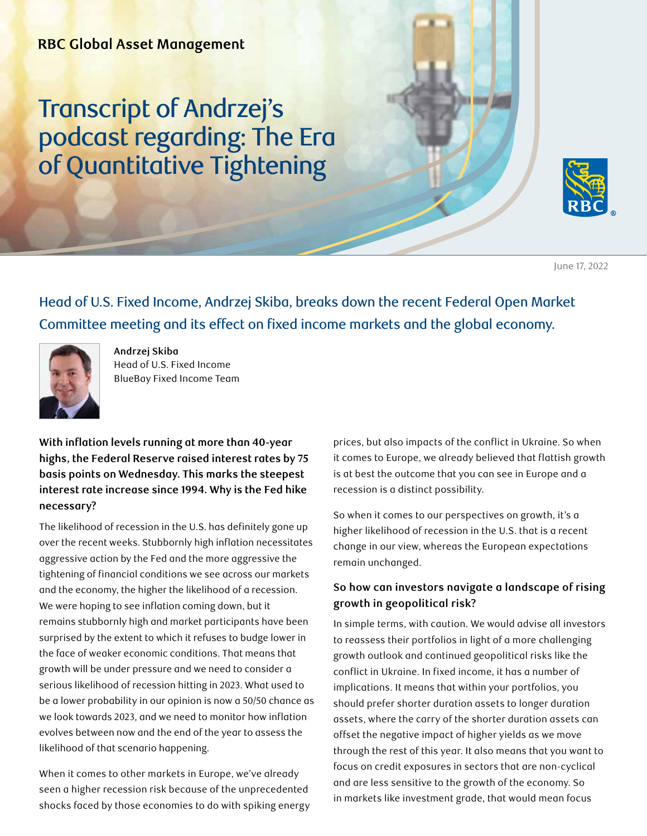## Transcript of Andrzej's podcast regarding: The Era of Quantitative Tightening



June 17, 2022

Head of U.S. Fixed Income, Andrzej Skiba, breaks down the recent Federal Open Market Committee meeting and its effect on fixed income markets and the global economy.



**Andrzej Skiba**  Head of U.S. Fixed Income BlueBay Fixed Income Team

**With inflation levels running at more than 40-year highs, the Federal Reserve raised interest rates by 75 basis points on Wednesday. This marks the steepest interest rate increase since 1994. Why is the Fed hike necessary?**

The likelihood of recession in the U.S. has definitely gone up over the recent weeks. Stubbornly high inflation necessitates aggressive action by the Fed and the more aggressive the tightening of financial conditions we see across our markets and the economy, the higher the likelihood of a recession. We were hoping to see inflation coming down, but it remains stubbornly high and market participants have been surprised by the extent to which it refuses to budge lower in the face of weaker economic conditions. That means that growth will be under pressure and we need to consider a serious likelihood of recession hitting in 2023. What used to be a lower probability in our opinion is now a 50/50 chance as we look towards 2023, and we need to monitor how inflation evolves between now and the end of the year to assess the likelihood of that scenario happening.

When it comes to other markets in Europe, we've already seen a higher recession risk because of the unprecedented shocks faced by those economies to do with spiking energy prices, but also impacts of the conflict in Ukraine. So when it comes to Europe, we already believed that flattish growth is at best the outcome that you can see in Europe and a recession is a distinct possibility.

So when it comes to our perspectives on growth, it's a higher likelihood of recession in the U.S. that is a recent change in our view, whereas the European expectations remain unchanged.

## **So how can investors navigate a landscape of rising growth in geopolitical risk?**

In simple terms, with caution. We would advise all investors to reassess their portfolios in light of a more challenging growth outlook and continued geopolitical risks like the conflict in Ukraine. In fixed income, it has a number of implications. It means that within your portfolios, you should prefer shorter duration assets to longer duration assets, where the carry of the shorter duration assets can offset the negative impact of higher yields as we move through the rest of this year. It also means that you want to focus on credit exposures in sectors that are non-cyclical and are less sensitive to the growth of the economy. So in markets like investment grade, that would mean focus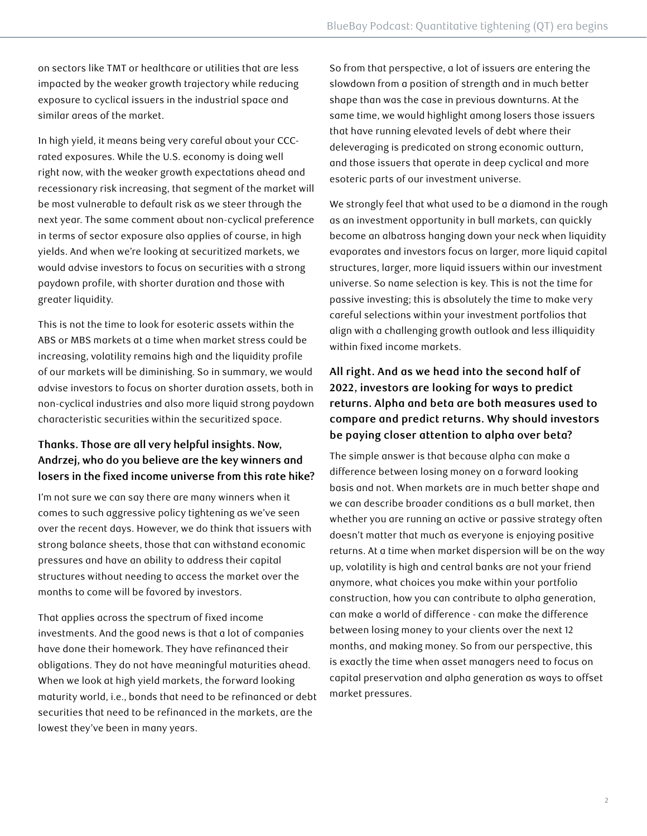on sectors like TMT or healthcare or utilities that are less impacted by the weaker growth trajectory while reducing exposure to cyclical issuers in the industrial space and similar areas of the market.

In high yield, it means being very careful about your CCCrated exposures. While the U.S. economy is doing well right now, with the weaker growth expectations ahead and recessionary risk increasing, that segment of the market will be most vulnerable to default risk as we steer through the next year. The same comment about non-cyclical preference in terms of sector exposure also applies of course, in high yields. And when we're looking at securitized markets, we would advise investors to focus on securities with a strong paydown profile, with shorter duration and those with greater liquidity.

This is not the time to look for esoteric assets within the ABS or MBS markets at a time when market stress could be increasing, volatility remains high and the liquidity profile of our markets will be diminishing. So in summary, we would advise investors to focus on shorter duration assets, both in non-cyclical industries and also more liquid strong paydown characteristic securities within the securitized space.

## **Thanks. Those are all very helpful insights. Now, Andrzej, who do you believe are the key winners and losers in the fixed income universe from this rate hike?**

I'm not sure we can say there are many winners when it comes to such aggressive policy tightening as we've seen over the recent days. However, we do think that issuers with strong balance sheets, those that can withstand economic pressures and have an ability to address their capital structures without needing to access the market over the months to come will be favored by investors.

That applies across the spectrum of fixed income investments. And the good news is that a lot of companies have done their homework. They have refinanced their obligations. They do not have meaningful maturities ahead. When we look at high yield markets, the forward looking maturity world, i.e., bonds that need to be refinanced or debt securities that need to be refinanced in the markets, are the lowest they've been in many years.

So from that perspective, a lot of issuers are entering the slowdown from a position of strength and in much better shape than was the case in previous downturns. At the same time, we would highlight among losers those issuers that have running elevated levels of debt where their deleveraging is predicated on strong economic outturn, and those issuers that operate in deep cyclical and more esoteric parts of our investment universe.

We strongly feel that what used to be a diamond in the rough as an investment opportunity in bull markets, can quickly become an albatross hanging down your neck when liquidity evaporates and investors focus on larger, more liquid capital structures, larger, more liquid issuers within our investment universe. So name selection is key. This is not the time for passive investing; this is absolutely the time to make very careful selections within your investment portfolios that align with a challenging growth outlook and less illiquidity within fixed income markets.

## **All right. And as we head into the second half of 2022, investors are looking for ways to predict returns. Alpha and beta are both measures used to compare and predict returns. Why should investors be paying closer attention to alpha over beta?**

The simple answer is that because alpha can make a difference between losing money on a forward looking basis and not. When markets are in much better shape and we can describe broader conditions as a bull market, then whether you are running an active or passive strategy often doesn't matter that much as everyone is enjoying positive returns. At a time when market dispersion will be on the way up, volatility is high and central banks are not your friend anymore, what choices you make within your portfolio construction, how you can contribute to alpha generation, can make a world of difference - can make the difference between losing money to your clients over the next 12 months, and making money. So from our perspective, this is exactly the time when asset managers need to focus on capital preservation and alpha generation as ways to offset market pressures.